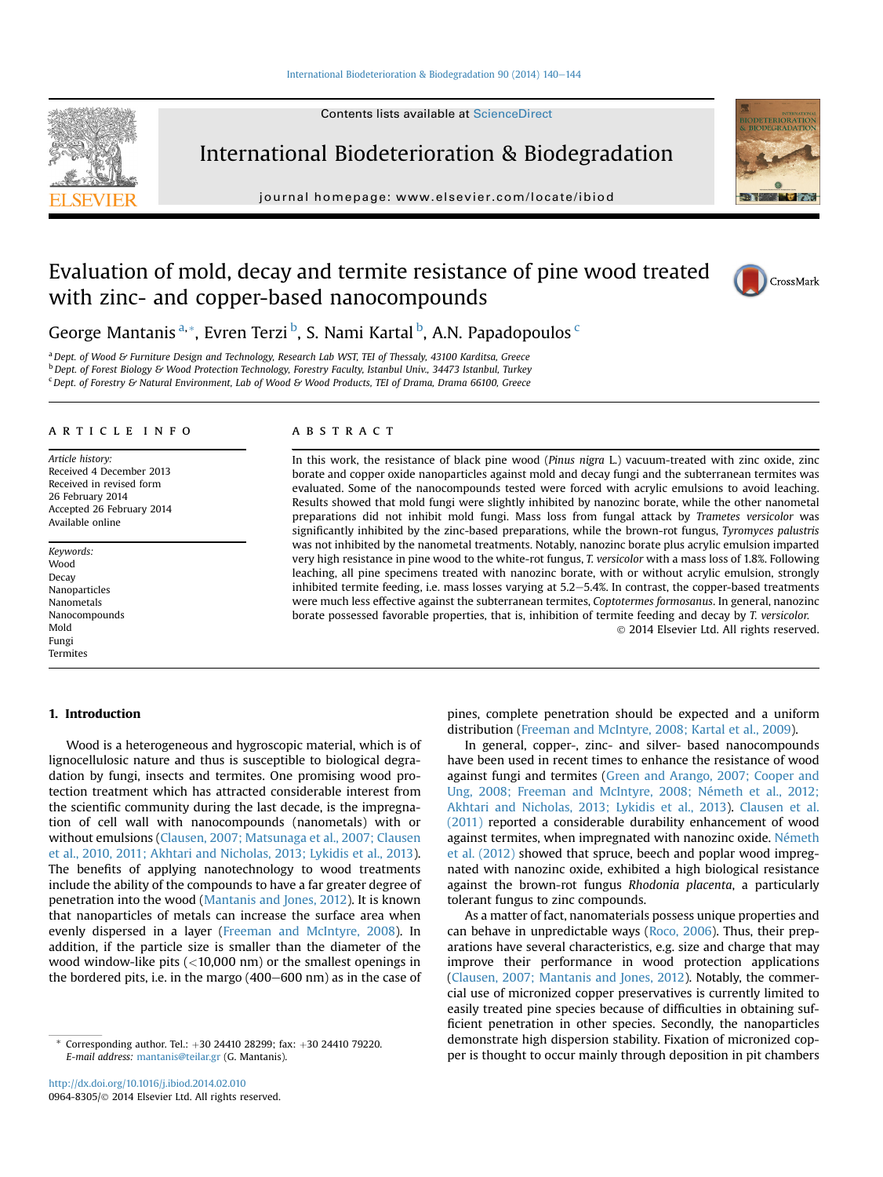#### [International Biodeterioration & Biodegradation 90 \(2014\) 140](http://dx.doi.org/10.1016/j.ibiod.2014.02.010)-[144](http://dx.doi.org/10.1016/j.ibiod.2014.02.010)

Contents lists available at [ScienceDirect](www.sciencedirect.com/science/journal/09648305)



International Biodeterioration & Biodegradation

journal homepage: [www.elsevier.com/locate/ibiod](http://www.elsevier.com/locate/ibiod)



# Evaluation of mold, decay and termite resistance of pine wood treated with zinc- and copper-based nanocompounds



George Mantanis <sup>a, \*</sup>, Evren Terzi <sup>b</sup>, S. Nami Kartal <sup>b</sup>, A.N. Papadopoulos <sup>c</sup>

<sup>a</sup> Dept. of Wood & Furniture Design and Technology, Research Lab WST, TEI of Thessaly, 43100 Karditsa, Greece  $b$  Dept. of Forest Biology & Wood Protection Technology, Forestry Faculty, Istanbul Univ., 34473 Istanbul, Turkey <sup>c</sup> Dept. of Forestry & Natural Environment, Lab of Wood & Wood Products, TEI of Drama, Drama 66100, Greece

#### article info

Article history: Received 4 December 2013 Received in revised form 26 February 2014 Accepted 26 February 2014 Available online

Keywords: Wood Decay Nanoparticles Nanometals Nanocompounds Mold Fungi Termites

## 1. Introduction

Wood is a heterogeneous and hygroscopic material, which is of lignocellulosic nature and thus is susceptible to biological degradation by fungi, insects and termites. One promising wood protection treatment which has attracted considerable interest from the scientific community during the last decade, is the impregnation of cell wall with nanocompounds (nanometals) with or without emulsions [\(Clausen, 2007; Matsunaga et al., 2007; Clausen](#page-4-0) [et al., 2010, 2011; Akhtari and Nicholas, 2013; Lykidis et al., 2013\)](#page-4-0). The benefits of applying nanotechnology to wood treatments include the ability of the compounds to have a far greater degree of penetration into the wood ([Mantanis and Jones, 2012](#page-4-0)). It is known that nanoparticles of metals can increase the surface area when evenly dispersed in a layer ([Freeman and McIntyre, 2008\)](#page-4-0). In addition, if the particle size is smaller than the diameter of the wood window-like pits (<10,000 nm) or the smallest openings in the bordered pits, i.e. in the margo  $(400-600 \text{ nm})$  as in the case of

#### **ABSTRACT**

In this work, the resistance of black pine wood (Pinus nigra L.) vacuum-treated with zinc oxide, zinc borate and copper oxide nanoparticles against mold and decay fungi and the subterranean termites was evaluated. Some of the nanocompounds tested were forced with acrylic emulsions to avoid leaching. Results showed that mold fungi were slightly inhibited by nanozinc borate, while the other nanometal preparations did not inhibit mold fungi. Mass loss from fungal attack by Trametes versicolor was significantly inhibited by the zinc-based preparations, while the brown-rot fungus, Tyromyces palustris was not inhibited by the nanometal treatments. Notably, nanozinc borate plus acrylic emulsion imparted very high resistance in pine wood to the white-rot fungus, T. versicolor with a mass loss of 1.8%. Following leaching, all pine specimens treated with nanozinc borate, with or without acrylic emulsion, strongly inhibited termite feeding, i.e. mass losses varying at  $5.2-5.4%$ . In contrast, the copper-based treatments were much less effective against the subterranean termites, Coptotermes formosanus. In general, nanozinc borate possessed favorable properties, that is, inhibition of termite feeding and decay by T. versicolor. 2014 Elsevier Ltd. All rights reserved.

> pines, complete penetration should be expected and a uniform distribution ([Freeman and McIntyre, 2008; Kartal et al., 2009\)](#page-4-0).

> In general, copper-, zinc- and silver- based nanocompounds have been used in recent times to enhance the resistance of wood against fungi and termites [\(Green and Arango, 2007; Cooper and](#page-4-0) [Ung, 2008; Freeman and McIntyre, 2008; Németh et al., 2012;](#page-4-0) [Akhtari and Nicholas, 2013; Lykidis et al., 2013](#page-4-0)). [Clausen et al.](#page-4-0) [\(2011\)](#page-4-0) reported a considerable durability enhancement of wood against termites, when impregnated with nanozinc oxide. [Németh](#page-4-0) [et al. \(2012\)](#page-4-0) showed that spruce, beech and poplar wood impregnated with nanozinc oxide, exhibited a high biological resistance against the brown-rot fungus Rhodonia placenta, a particularly tolerant fungus to zinc compounds.

> As a matter of fact, nanomaterials possess unique properties and can behave in unpredictable ways ([Roco, 2006](#page-4-0)). Thus, their preparations have several characteristics, e.g. size and charge that may improve their performance in wood protection applications ([Clausen, 2007; Mantanis and Jones, 2012\)](#page-4-0). Notably, the commercial use of micronized copper preservatives is currently limited to easily treated pine species because of difficulties in obtaining sufficient penetration in other species. Secondly, the nanoparticles demonstrate high dispersion stability. Fixation of micronized copper is thought to occur mainly through deposition in pit chambers

Corresponding author. Tel.: +30 24410 28299; fax: +30 24410 79220. E-mail address: [mantanis@teilar.gr](mailto:mantanis@teilar.gr) (G. Mantanis).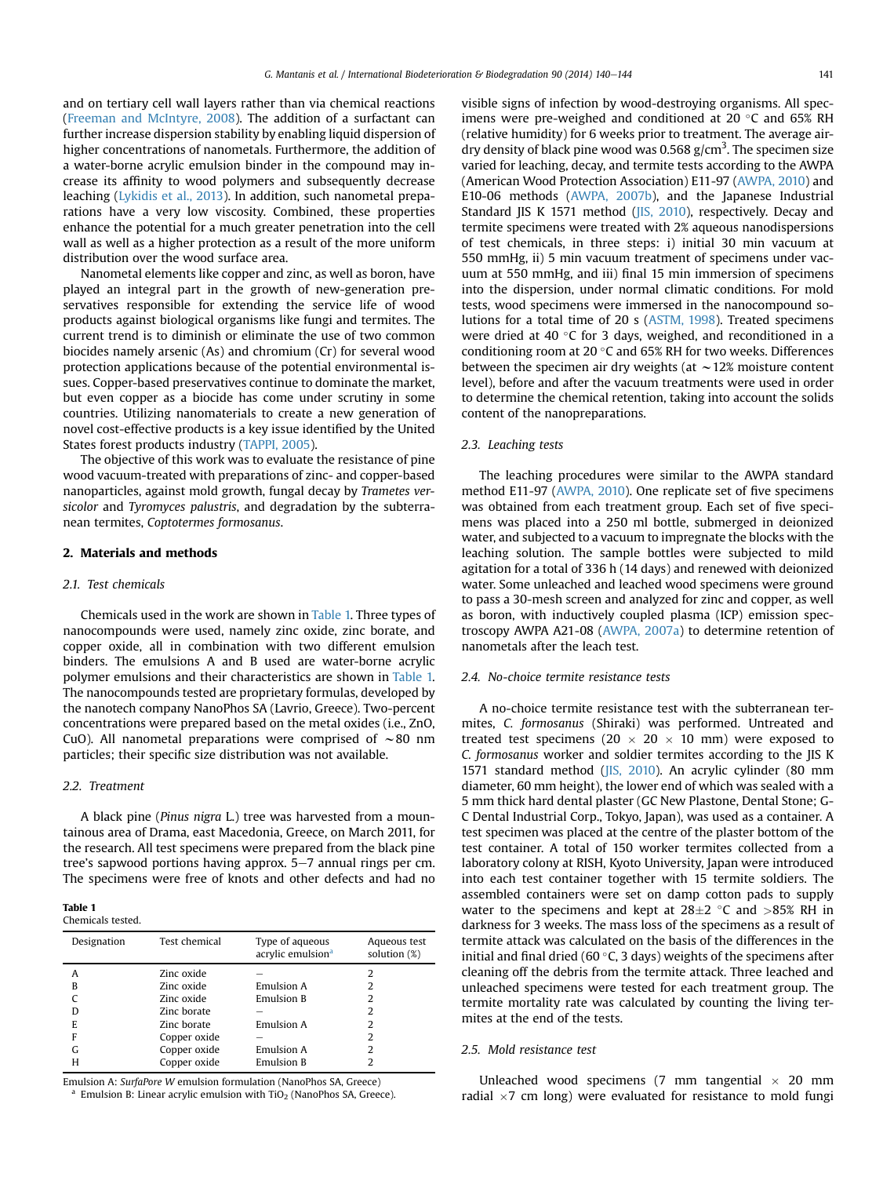<span id="page-1-0"></span>and on tertiary cell wall layers rather than via chemical reactions ([Freeman and McIntyre, 2008\)](#page-4-0). The addition of a surfactant can further increase dispersion stability by enabling liquid dispersion of higher concentrations of nanometals. Furthermore, the addition of a water-borne acrylic emulsion binder in the compound may increase its affinity to wood polymers and subsequently decrease leaching [\(Lykidis et al., 2013\)](#page-4-0). In addition, such nanometal preparations have a very low viscosity. Combined, these properties enhance the potential for a much greater penetration into the cell wall as well as a higher protection as a result of the more uniform distribution over the wood surface area.

Nanometal elements like copper and zinc, as well as boron, have played an integral part in the growth of new-generation preservatives responsible for extending the service life of wood products against biological organisms like fungi and termites. The current trend is to diminish or eliminate the use of two common biocides namely arsenic (As) and chromium (Cr) for several wood protection applications because of the potential environmental issues. Copper-based preservatives continue to dominate the market, but even copper as a biocide has come under scrutiny in some countries. Utilizing nanomaterials to create a new generation of novel cost-effective products is a key issue identified by the United States forest products industry [\(TAPPI, 2005](#page-4-0)).

The objective of this work was to evaluate the resistance of pine wood vacuum-treated with preparations of zinc- and copper-based nanoparticles, against mold growth, fungal decay by Trametes versicolor and Tyromyces palustris, and degradation by the subterranean termites, Coptotermes formosanus.

### 2. Materials and methods

### 2.1. Test chemicals

Chemicals used in the work are shown in Table 1. Three types of nanocompounds were used, namely zinc oxide, zinc borate, and copper oxide, all in combination with two different emulsion binders. The emulsions A and B used are water-borne acrylic polymer emulsions and their characteristics are shown in Table 1. The nanocompounds tested are proprietary formulas, developed by the nanotech company NanoPhos SA (Lavrio, Greece). Two-percent concentrations were prepared based on the metal oxides (i.e., ZnO, CuO). All nanometal preparations were comprised of  $\sim$ 80 nm particles; their specific size distribution was not available.

## 2.2. Treatment

A black pine (Pinus nigra L.) tree was harvested from a mountainous area of Drama, east Macedonia, Greece, on March 2011, for the research. All test specimens were prepared from the black pine tree's sapwood portions having approx.  $5-7$  annual rings per cm. The specimens were free of knots and other defects and had no

#### Table 1 Chemicals tested.

| enemneurs cesceu |  |
|------------------|--|
|                  |  |
|                  |  |
|                  |  |

| Designation | Test chemical | Type of aqueous<br>acrylic emulsion <sup>a</sup> | Aqueous test<br>solution $(\%)$ |
|-------------|---------------|--------------------------------------------------|---------------------------------|
| A           | Zinc oxide    |                                                  | 2                               |
| В           | Zinc oxide    | Emulsion A                                       | 2                               |
|             | Zinc oxide    | <b>Emulsion B</b>                                | 2                               |
| D           | Zinc borate   |                                                  | 2                               |
| E           | Zinc borate   | Emulsion A                                       | 2                               |
| F           | Copper oxide  |                                                  | 2                               |
| G           | Copper oxide  | Emulsion A                                       | 2                               |
| н           | Copper oxide  | <b>Emulsion B</b>                                | 2                               |

Emulsion A: SurfaPore W emulsion formulation (NanoPhos SA, Greece) Emulsion B: Linear acrylic emulsion with TiO<sub>2</sub> (NanoPhos SA, Greece). visible signs of infection by wood-destroying organisms. All specimens were pre-weighed and conditioned at 20  $\degree$ C and 65% RH (relative humidity) for 6 weeks prior to treatment. The average airdry density of black pine wood was 0.568 g/cm<sup>3</sup>. The specimen size varied for leaching, decay, and termite tests according to the AWPA (American Wood Protection Association) E11-97 ([AWPA, 2010](#page-4-0)) and E10-06 methods [\(AWPA, 2007b\)](#page-4-0), and the Japanese Industrial Standard JIS K 1571 method ([JIS, 2010\)](#page-4-0), respectively. Decay and termite specimens were treated with 2% aqueous nanodispersions of test chemicals, in three steps: i) initial 30 min vacuum at 550 mmHg, ii) 5 min vacuum treatment of specimens under vacuum at 550 mmHg, and iii) final 15 min immersion of specimens into the dispersion, under normal climatic conditions. For mold tests, wood specimens were immersed in the nanocompound solutions for a total time of 20 s ([ASTM, 1998\)](#page-4-0). Treated specimens were dried at 40  $^{\circ}$ C for 3 days, weighed, and reconditioned in a conditioning room at 20  $^{\circ}$ C and 65% RH for two weeks. Differences between the specimen air dry weights (at  $\sim$  12% moisture content level), before and after the vacuum treatments were used in order to determine the chemical retention, taking into account the solids content of the nanopreparations.

#### 2.3. Leaching tests

The leaching procedures were similar to the AWPA standard method E11-97 [\(AWPA, 2010\)](#page-4-0). One replicate set of five specimens was obtained from each treatment group. Each set of five specimens was placed into a 250 ml bottle, submerged in deionized water, and subjected to a vacuum to impregnate the blocks with the leaching solution. The sample bottles were subjected to mild agitation for a total of 336 h (14 days) and renewed with deionized water. Some unleached and leached wood specimens were ground to pass a 30-mesh screen and analyzed for zinc and copper, as well as boron, with inductively coupled plasma (ICP) emission spectroscopy AWPA A21-08 ([AWPA, 2007a](#page-4-0)) to determine retention of nanometals after the leach test.

#### 2.4. No-choice termite resistance tests

A no-choice termite resistance test with the subterranean termites, C. formosanus (Shiraki) was performed. Untreated and treated test specimens (20  $\times$  20  $\times$  10 mm) were exposed to C. formosanus worker and soldier termites according to the JIS K 1571 standard method [\(JIS, 2010](#page-4-0)). An acrylic cylinder (80 mm diameter, 60 mm height), the lower end of which was sealed with a 5 mm thick hard dental plaster (GC New Plastone, Dental Stone; G-C Dental Industrial Corp., Tokyo, Japan), was used as a container. A test specimen was placed at the centre of the plaster bottom of the test container. A total of 150 worker termites collected from a laboratory colony at RISH, Kyoto University, Japan were introduced into each test container together with 15 termite soldiers. The assembled containers were set on damp cotton pads to supply water to the specimens and kept at  $28\pm2$  °C and  $>85\%$  RH in darkness for 3 weeks. The mass loss of the specimens as a result of termite attack was calculated on the basis of the differences in the initial and final dried (60 $\degree$ C, 3 days) weights of the specimens after cleaning off the debris from the termite attack. Three leached and unleached specimens were tested for each treatment group. The termite mortality rate was calculated by counting the living termites at the end of the tests.

## 2.5. Mold resistance test

Unleached wood specimens (7 mm tangential  $\times$  20 mm radial  $\times$ 7 cm long) were evaluated for resistance to mold fungi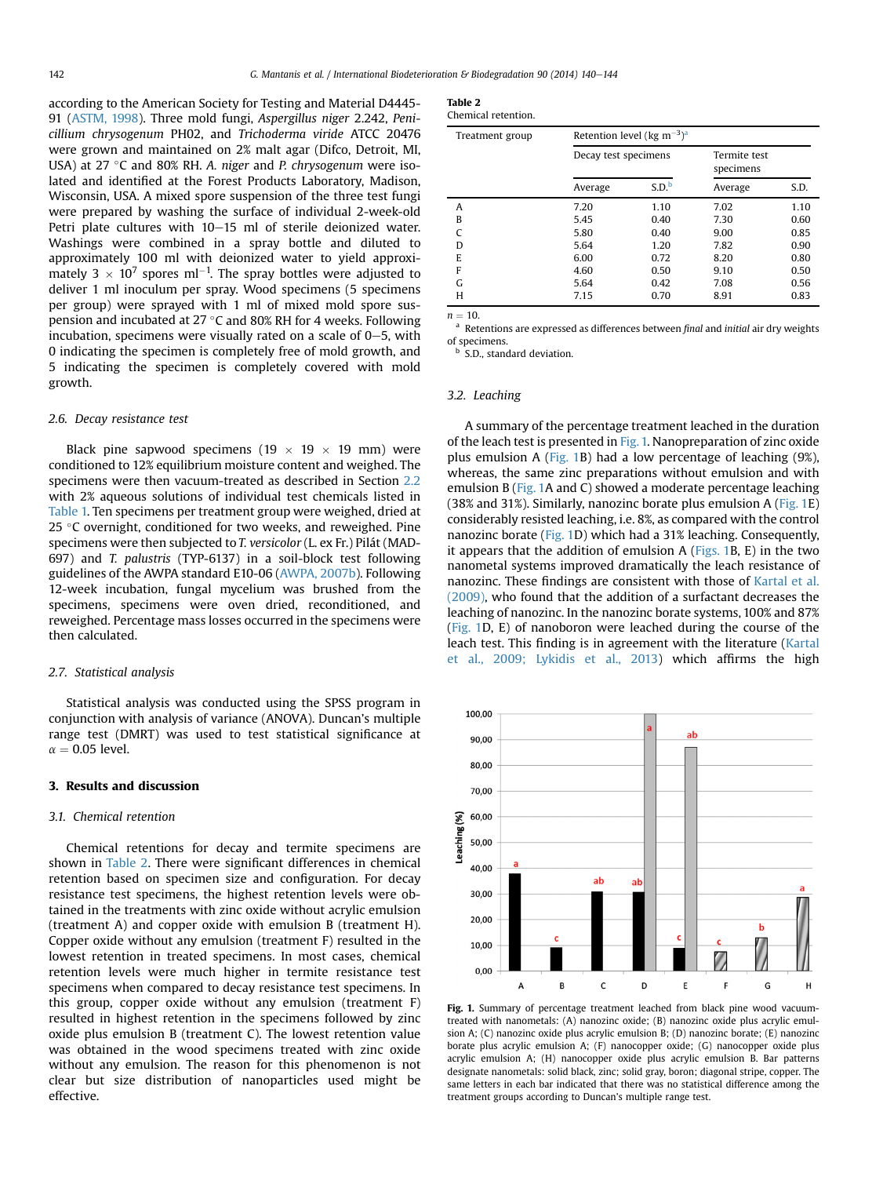<span id="page-2-0"></span>according to the American Society for Testing and Material D4445- 91 [\(ASTM, 1998](#page-4-0)). Three mold fungi, Aspergillus niger 2.242, Penicillium chrysogenum PH02, and Trichoderma viride ATCC 20476 were grown and maintained on 2% malt agar (Difco, Detroit, MI, USA) at 27  $^{\circ}$ C and 80% RH. A. niger and P. chrysogenum were isolated and identified at the Forest Products Laboratory, Madison, Wisconsin, USA. A mixed spore suspension of the three test fungi were prepared by washing the surface of individual 2-week-old Petri plate cultures with  $10-15$  ml of sterile deionized water. Washings were combined in a spray bottle and diluted to approximately 100 ml with deionized water to yield approximately 3  $\times$  10<sup>7</sup> spores ml<sup>-1</sup>. The spray bottles were adjusted to deliver 1 ml inoculum per spray. Wood specimens (5 specimens per group) were sprayed with 1 ml of mixed mold spore suspension and incubated at 27 °C and 80% RH for 4 weeks. Following incubation, specimens were visually rated on a scale of  $0-5$ , with 0 indicating the specimen is completely free of mold growth, and 5 indicating the specimen is completely covered with mold growth.

#### 2.6. Decay resistance test

Black pine sapwood specimens (19  $\times$  19  $\times$  19 mm) were conditioned to 12% equilibrium moisture content and weighed. The specimens were then vacuum-treated as described in Section [2.2](#page-1-0) with 2% aqueous solutions of individual test chemicals listed in [Table 1.](#page-1-0) Ten specimens per treatment group were weighed, dried at 25 °C overnight, conditioned for two weeks, and reweighed. Pine specimens were then subjected to T. versicolor (L. ex Fr.) Pilát (MAD-697) and T. palustris (TYP-6137) in a soil-block test following guidelines of the AWPA standard E10-06 ([AWPA, 2007b\)](#page-4-0). Following 12-week incubation, fungal mycelium was brushed from the specimens, specimens were oven dried, reconditioned, and reweighed. Percentage mass losses occurred in the specimens were then calculated.

### 2.7. Statistical analysis

Statistical analysis was conducted using the SPSS program in conjunction with analysis of variance (ANOVA). Duncan's multiple range test (DMRT) was used to test statistical significance at  $\alpha = 0.05$  level.

## 3. Results and discussion

#### 3.1. Chemical retention

Chemical retentions for decay and termite specimens are shown in Table 2. There were significant differences in chemical retention based on specimen size and configuration. For decay resistance test specimens, the highest retention levels were obtained in the treatments with zinc oxide without acrylic emulsion (treatment A) and copper oxide with emulsion B (treatment H). Copper oxide without any emulsion (treatment F) resulted in the lowest retention in treated specimens. In most cases, chemical retention levels were much higher in termite resistance test specimens when compared to decay resistance test specimens. In this group, copper oxide without any emulsion (treatment F) resulted in highest retention in the specimens followed by zinc oxide plus emulsion B (treatment C). The lowest retention value was obtained in the wood specimens treated with zinc oxide without any emulsion. The reason for this phenomenon is not clear but size distribution of nanoparticles used might be effective.

| Table |  |
|-------|--|
|-------|--|

| Chemical retention. |  |
|---------------------|--|
|                     |  |

| Treatment group | Retention level (kg m <sup>-3</sup> ) <sup>a</sup> |                   |                           |      |
|-----------------|----------------------------------------------------|-------------------|---------------------------|------|
|                 | Decay test specimens                               |                   | Termite test<br>specimens |      |
|                 | Average                                            | S.D. <sup>b</sup> | Average                   | S.D. |
| A               | 7.20                                               | 1.10              | 7.02                      | 1.10 |
| B               | 5.45                                               | 0.40              | 7.30                      | 0.60 |
| $\mathcal{C}$   | 5.80                                               | 0.40              | 9.00                      | 0.85 |
| D               | 5.64                                               | 1.20              | 7.82                      | 0.90 |
| E               | 6.00                                               | 0.72              | 8.20                      | 0.80 |
| F               | 4.60                                               | 0.50              | 9.10                      | 0.50 |
| G               | 5.64                                               | 0.42              | 7.08                      | 0.56 |
| H               | 7.15                                               | 0.70              | 8.91                      | 0.83 |

 $n = 10$ .<br><sup>a</sup> Retentions are expressed as differences between final and initial air dry weights of specimens.

S.D., standard deviation.

#### 3.2. Leaching

A summary of the percentage treatment leached in the duration of the leach test is presented in Fig. 1. Nanopreparation of zinc oxide plus emulsion A (Fig. 1B) had a low percentage of leaching (9%), whereas, the same zinc preparations without emulsion and with emulsion B (Fig. 1A and C) showed a moderate percentage leaching (38% and 31%). Similarly, nanozinc borate plus emulsion A ( $Fig. 1E$ ) considerably resisted leaching, i.e. 8%, as compared with the control nanozinc borate (Fig. 1D) which had a 31% leaching. Consequently, it appears that the addition of emulsion  $A$  (Figs. 1B, E) in the two nanometal systems improved dramatically the leach resistance of nanozinc. These findings are consistent with those of [Kartal et al.](#page-4-0) [\(2009\)](#page-4-0), who found that the addition of a surfactant decreases the leaching of nanozinc. In the nanozinc borate systems, 100% and 87% (Fig. 1D, E) of nanoboron were leached during the course of the leach test. This finding is in agreement with the literature [\(Kartal](#page-4-0) [et al., 2009; Lykidis et al., 2013\)](#page-4-0) which affirms the high



Fig. 1. Summary of percentage treatment leached from black pine wood vacuumtreated with nanometals: (A) nanozinc oxide; (B) nanozinc oxide plus acrylic emulsion A; (C) nanozinc oxide plus acrylic emulsion B; (D) nanozinc borate; (E) nanozinc borate plus acrylic emulsion A; (F) nanocopper oxide; (G) nanocopper oxide plus acrylic emulsion A; (H) nanocopper oxide plus acrylic emulsion B. Bar patterns designate nanometals: solid black, zinc; solid gray, boron; diagonal stripe, copper. The same letters in each bar indicated that there was no statistical difference among the treatment groups according to Duncan's multiple range test.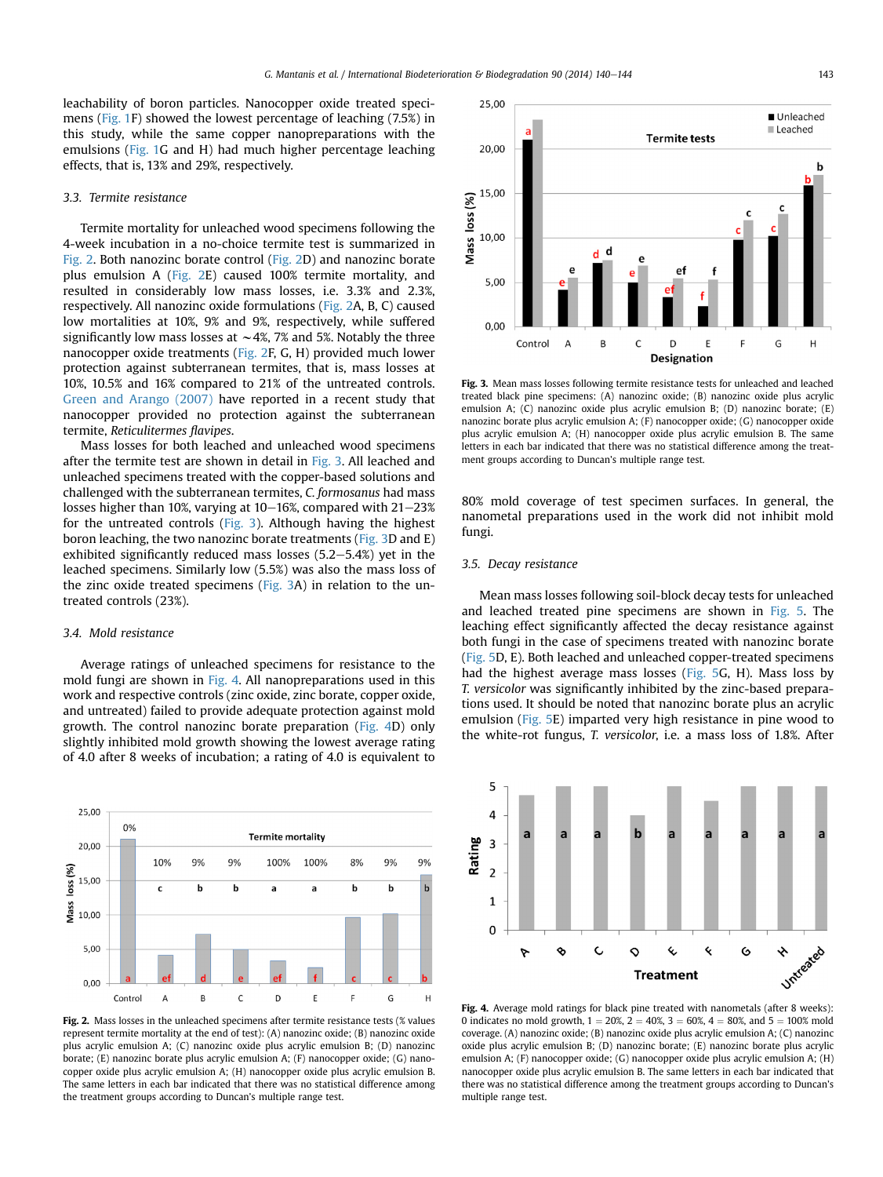leachability of boron particles. Nanocopper oxide treated specimens ([Fig. 1](#page-2-0)F) showed the lowest percentage of leaching (7.5%) in this study, while the same copper nanopreparations with the emulsions [\(Fig. 1G](#page-2-0) and H) had much higher percentage leaching effects, that is, 13% and 29%, respectively.

#### 3.3. Termite resistance

Termite mortality for unleached wood specimens following the 4-week incubation in a no-choice termite test is summarized in Fig. 2. Both nanozinc borate control (Fig. 2D) and nanozinc borate plus emulsion A (Fig. 2E) caused 100% termite mortality, and resulted in considerably low mass losses, i.e. 3.3% and 2.3%, respectively. All nanozinc oxide formulations (Fig. 2A, B, C) caused low mortalities at 10%, 9% and 9%, respectively, while suffered significantly low mass losses at  $\sim$  4%, 7% and 5%. Notably the three nanocopper oxide treatments (Fig. 2F, G, H) provided much lower protection against subterranean termites, that is, mass losses at 10%, 10.5% and 16% compared to 21% of the untreated controls. [Green and Arango \(2007\)](#page-4-0) have reported in a recent study that nanocopper provided no protection against the subterranean termite, Reticulitermes flavipes.

Mass losses for both leached and unleached wood specimens after the termite test are shown in detail in Fig. 3. All leached and unleached specimens treated with the copper-based solutions and challenged with the subterranean termites, C. formosanus had mass losses higher than 10%, varying at  $10-16$ %, compared with  $21-23$ % for the untreated controls (Fig. 3). Although having the highest boron leaching, the two nanozinc borate treatments (Fig. 3D and E) exhibited significantly reduced mass losses  $(5.2-5.4%)$  yet in the leached specimens. Similarly low (5.5%) was also the mass loss of the zinc oxide treated specimens (Fig. 3A) in relation to the untreated controls (23%).

## 3.4. Mold resistance

25,00

20,00

15,00

 $5,00$ 

 $\log$  (%)

Vlass 10.00 0%

10%

 $\mathbf c$ 

9%

b

9%

b

Average ratings of unleached specimens for resistance to the mold fungi are shown in Fig. 4. All nanopreparations used in this work and respective controls (zinc oxide, zinc borate, copper oxide, and untreated) failed to provide adequate protection against mold growth. The control nanozinc borate preparation (Fig. 4D) only slightly inhibited mold growth showing the lowest average rating of 4.0 after 8 weeks of incubation; a rating of 4.0 is equivalent to

**Termite mortality** 

100%

a

8%

b

9%

b

100%

a

9%



represent termite mortality at the end of test): (A) nanozinc oxide; (B) nanozinc oxide plus acrylic emulsion A; (C) nanozinc oxide plus acrylic emulsion B; (D) nanozinc borate; (E) nanozinc borate plus acrylic emulsion A; (F) nanocopper oxide; (G) nanocopper oxide plus acrylic emulsion A; (H) nanocopper oxide plus acrylic emulsion B. The same letters in each bar indicated that there was no statistical difference among the treatment groups according to Duncan's multiple range test.



Fig. 3. Mean mass losses following termite resistance tests for unleached and leached treated black pine specimens: (A) nanozinc oxide; (B) nanozinc oxide plus acrylic emulsion A; (C) nanozinc oxide plus acrylic emulsion B; (D) nanozinc borate; (E) nanozinc borate plus acrylic emulsion A; (F) nanocopper oxide; (G) nanocopper oxide plus acrylic emulsion A; (H) nanocopper oxide plus acrylic emulsion B. The same letters in each bar indicated that there was no statistical difference among the treatment groups according to Duncan's multiple range test.

80% mold coverage of test specimen surfaces. In general, the nanometal preparations used in the work did not inhibit mold fungi.

#### 3.5. Decay resistance

Mean mass losses following soil-block decay tests for unleached and leached treated pine specimens are shown in [Fig. 5](#page-4-0). The leaching effect significantly affected the decay resistance against both fungi in the case of specimens treated with nanozinc borate ([Fig. 5](#page-4-0)D, E). Both leached and unleached copper-treated specimens had the highest average mass losses [\(Fig. 5](#page-4-0)G, H). Mass loss by T. versicolor was significantly inhibited by the zinc-based preparations used. It should be noted that nanozinc borate plus an acrylic emulsion [\(Fig. 5E](#page-4-0)) imparted very high resistance in pine wood to the white-rot fungus, T. versicolor, i.e. a mass loss of 1.8%. After



Fig. 4. Average mold ratings for black pine treated with nanometals (after 8 weeks): 0 indicates no mold growth,  $1 = 20\%$ ,  $2 = 40\%$ ,  $3 = 60\%$ ,  $4 = 80\%$ , and  $5 = 100\%$  mold coverage. (A) nanozinc oxide; (B) nanozinc oxide plus acrylic emulsion A; (C) nanozinc oxide plus acrylic emulsion B; (D) nanozinc borate; (E) nanozinc borate plus acrylic emulsion A; (F) nanocopper oxide; (G) nanocopper oxide plus acrylic emulsion A; (H) nanocopper oxide plus acrylic emulsion B. The same letters in each bar indicated that there was no statistical difference among the treatment groups according to Duncan's multiple range test.